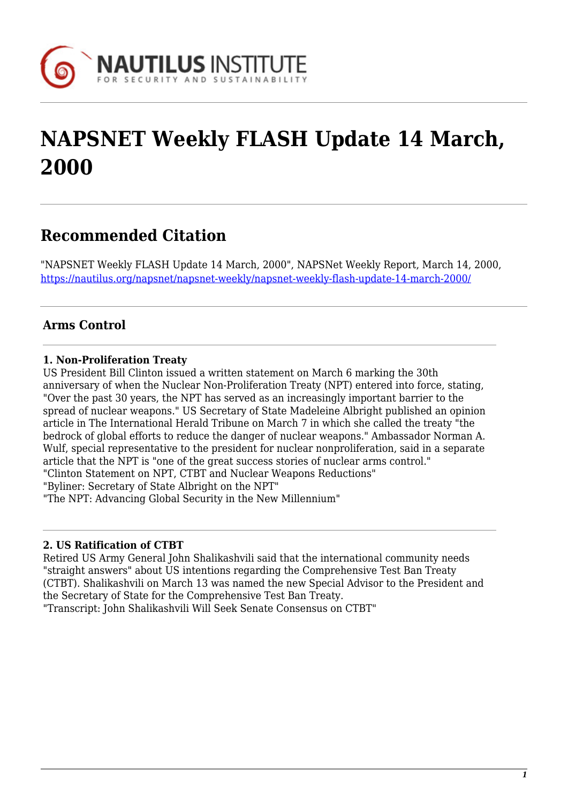

# **NAPSNET Weekly FLASH Update 14 March, 2000**

# **Recommended Citation**

"NAPSNET Weekly FLASH Update 14 March, 2000", NAPSNet Weekly Report, March 14, 2000, <https://nautilus.org/napsnet/napsnet-weekly/napsnet-weekly-flash-update-14-march-2000/>

# **Arms Control**

### **1. Non-Proliferation Treaty**

US President Bill Clinton issued a written statement on March 6 marking the 30th anniversary of when the Nuclear Non-Proliferation Treaty (NPT) entered into force, stating, "Over the past 30 years, the NPT has served as an increasingly important barrier to the spread of nuclear weapons." US Secretary of State Madeleine Albright published an opinion article in The International Herald Tribune on March 7 in which she called the treaty "the bedrock of global efforts to reduce the danger of nuclear weapons." Ambassador Norman A. Wulf, special representative to the president for nuclear nonproliferation, said in a separate article that the NPT is "one of the great success stories of nuclear arms control." "Clinton Statement on NPT, CTBT and Nuclear Weapons Reductions" "Byliner: Secretary of State Albright on the NPT" "The NPT: Advancing Global Security in the New Millennium"

#### **2. US Ratification of CTBT**

Retired US Army General John Shalikashvili said that the international community needs "straight answers" about US intentions regarding the Comprehensive Test Ban Treaty (CTBT). Shalikashvili on March 13 was named the new Special Advisor to the President and the Secretary of State for the Comprehensive Test Ban Treaty.

"Transcript: John Shalikashvili Will Seek Senate Consensus on CTBT"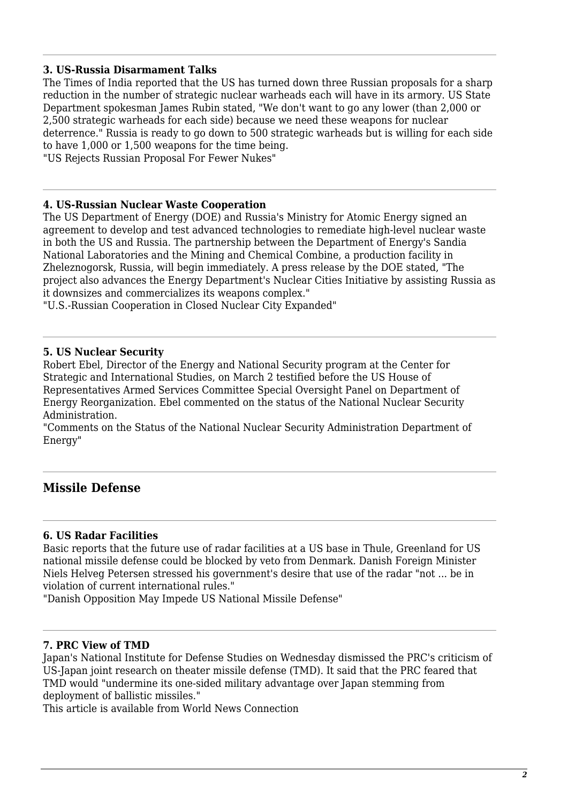#### **3. US-Russia Disarmament Talks**

The Times of India reported that the US has turned down three Russian proposals for a sharp reduction in the number of strategic nuclear warheads each will have in its armory. US State Department spokesman James Rubin stated, "We don't want to go any lower (than 2,000 or 2,500 strategic warheads for each side) because we need these weapons for nuclear deterrence." Russia is ready to go down to 500 strategic warheads but is willing for each side to have 1,000 or 1,500 weapons for the time being.

"US Rejects Russian Proposal For Fewer Nukes"

#### **4. US-Russian Nuclear Waste Cooperation**

The US Department of Energy (DOE) and Russia's Ministry for Atomic Energy signed an agreement to develop and test advanced technologies to remediate high-level nuclear waste in both the US and Russia. The partnership between the Department of Energy's Sandia National Laboratories and the Mining and Chemical Combine, a production facility in Zheleznogorsk, Russia, will begin immediately. A press release by the DOE stated, "The project also advances the Energy Department's Nuclear Cities Initiative by assisting Russia as it downsizes and commercializes its weapons complex."

"U.S.-Russian Cooperation in Closed Nuclear City Expanded"

#### **5. US Nuclear Security**

Robert Ebel, Director of the Energy and National Security program at the Center for Strategic and International Studies, on March 2 testified before the US House of Representatives Armed Services Committee Special Oversight Panel on Department of Energy Reorganization. Ebel commented on the status of the National Nuclear Security Administration.

"Comments on the Status of the National Nuclear Security Administration Department of Energy"

# **Missile Defense**

#### **6. US Radar Facilities**

Basic reports that the future use of radar facilities at a US base in Thule, Greenland for US national missile defense could be blocked by veto from Denmark. Danish Foreign Minister Niels Helveg Petersen stressed his government's desire that use of the radar "not ... be in violation of current international rules."

"Danish Opposition May Impede US National Missile Defense"

#### **7. PRC View of TMD**

Japan's National Institute for Defense Studies on Wednesday dismissed the PRC's criticism of US-Japan joint research on theater missile defense (TMD). It said that the PRC feared that TMD would "undermine its one-sided military advantage over Japan stemming from deployment of ballistic missiles."

This article is available from World News Connection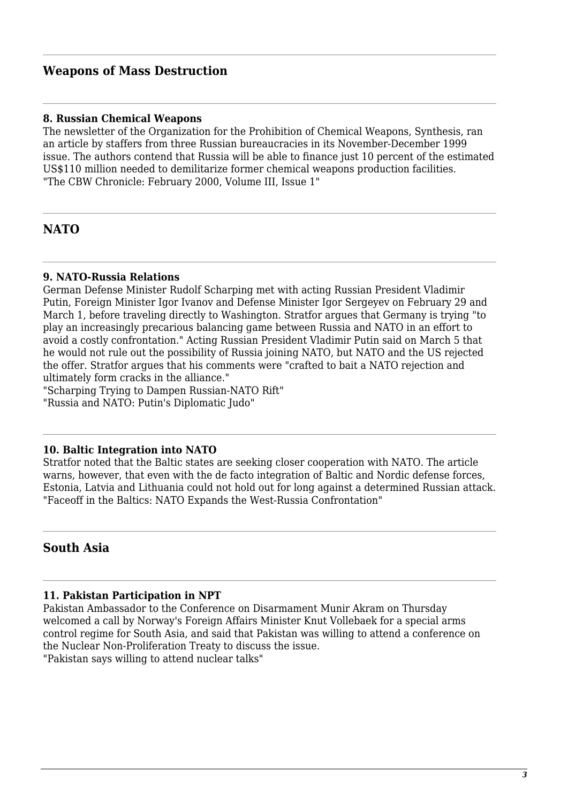# **Weapons of Mass Destruction**

#### **8. Russian Chemical Weapons**

The newsletter of the Organization for the Prohibition of Chemical Weapons, Synthesis, ran an article by staffers from three Russian bureaucracies in its November-December 1999 issue. The authors contend that Russia will be able to finance just 10 percent of the estimated US\$110 million needed to demilitarize former chemical weapons production facilities. "The CBW Chronicle: February 2000, Volume III, Issue 1"

# **NATO**

#### **9. NATO-Russia Relations**

German Defense Minister Rudolf Scharping met with acting Russian President Vladimir Putin, Foreign Minister Igor Ivanov and Defense Minister Igor Sergeyev on February 29 and March 1, before traveling directly to Washington. Stratfor argues that Germany is trying "to play an increasingly precarious balancing game between Russia and NATO in an effort to avoid a costly confrontation." Acting Russian President Vladimir Putin said on March 5 that he would not rule out the possibility of Russia joining NATO, but NATO and the US rejected the offer. Stratfor argues that his comments were "crafted to bait a NATO rejection and ultimately form cracks in the alliance."

"Scharping Trying to Dampen Russian-NATO Rift" "Russia and NATO: Putin's Diplomatic Judo"

#### **10. Baltic Integration into NATO**

Stratfor noted that the Baltic states are seeking closer cooperation with NATO. The article warns, however, that even with the de facto integration of Baltic and Nordic defense forces, Estonia, Latvia and Lithuania could not hold out for long against a determined Russian attack. "Faceoff in the Baltics: NATO Expands the West-Russia Confrontation"

#### **South Asia**

#### **11. Pakistan Participation in NPT**

Pakistan Ambassador to the Conference on Disarmament Munir Akram on Thursday welcomed a call by Norway's Foreign Affairs Minister Knut Vollebaek for a special arms control regime for South Asia, and said that Pakistan was willing to attend a conference on the Nuclear Non-Proliferation Treaty to discuss the issue.

"Pakistan says willing to attend nuclear talks"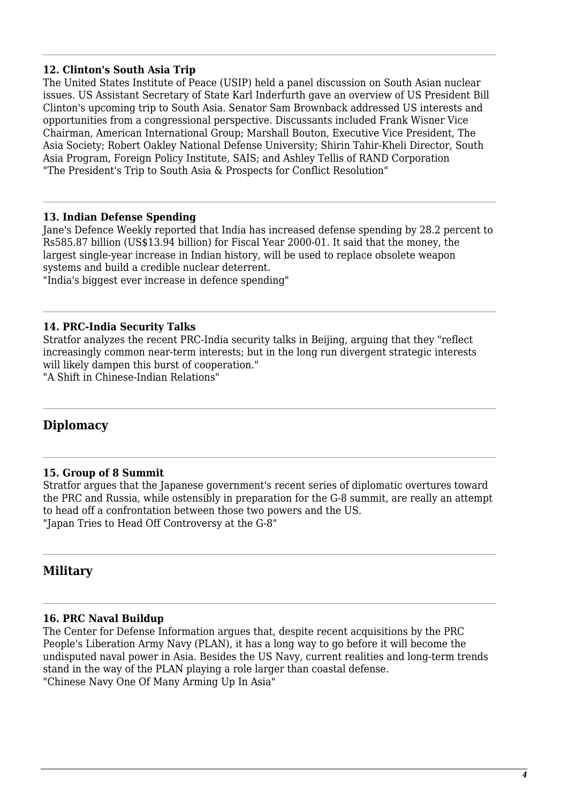#### **12. Clinton's South Asia Trip**

The United States Institute of Peace (USIP) held a panel discussion on South Asian nuclear issues. US Assistant Secretary of State Karl Inderfurth gave an overview of US President Bill Clinton's upcoming trip to South Asia. Senator Sam Brownback addressed US interests and opportunities from a congressional perspective. Discussants included Frank Wisner Vice Chairman, American International Group; Marshall Bouton, Executive Vice President, The Asia Society; Robert Oakley National Defense University; Shirin Tahir-Kheli Director, South Asia Program, Foreign Policy Institute, SAIS; and Ashley Tellis of RAND Corporation "The President's Trip to South Asia & Prospects for Conflict Resolution"

#### **13. Indian Defense Spending**

Jane's Defence Weekly reported that India has increased defense spending by 28.2 percent to Rs585.87 billion (US\$13.94 billion) for Fiscal Year 2000-01. It said that the money, the largest single-year increase in Indian history, will be used to replace obsolete weapon systems and build a credible nuclear deterrent. "India's biggest ever increase in defence spending"

#### **14. PRC-India Security Talks**

Stratfor analyzes the recent PRC-India security talks in Beijing, arguing that they "reflect increasingly common near-term interests; but in the long run divergent strategic interests will likely dampen this burst of cooperation."

"A Shift in Chinese-Indian Relations"

# **Diplomacy**

#### **15. Group of 8 Summit**

Stratfor argues that the Japanese government's recent series of diplomatic overtures toward the PRC and Russia, while ostensibly in preparation for the G-8 summit, are really an attempt to head off a confrontation between those two powers and the US. "Japan Tries to Head Off Controversy at the G-8"

# **Military**

#### **16. PRC Naval Buildup**

The Center for Defense Information argues that, despite recent acquisitions by the PRC People's Liberation Army Navy (PLAN), it has a long way to go before it will become the undisputed naval power in Asia. Besides the US Navy, current realities and long-term trends stand in the way of the PLAN playing a role larger than coastal defense. "Chinese Navy One Of Many Arming Up In Asia"